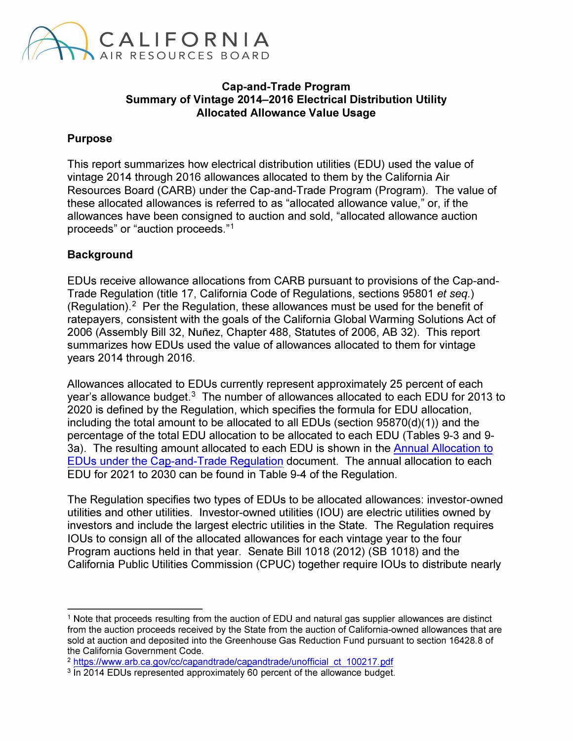

#### **Cap-and-Trade Program Summary of Vintage 2014-2016 Electrical Distribution Utility Allocated Allowance Value Usage**

#### **Purpose**

This report summarizes how electrical distribution utilities (EDU) used the value of vintage 2014 through 2016 allowances allocated to them by the California Air Resources Board (GARB) under the Cap-and-Trade Program (Program). The value of these allocated allowances is referred to as "allocated allowance value," or, if the allowances have been consigned to auction and sold, "allocated allowance auction proceeds" or "auction proceeds."[1](#page-0-0) 

#### **Background**

EDUs receive allowance allocations from GARB pursuant to provisions of the Cap-and-Trade Regulation (title 17, California Code of Regulations, sections 95801 *et* seq.) (Regulation).<sup>2</sup> Per the Regulation, these allowances must be used for the benefit of ratepayers, consistent with the goals of the California Global Warming Solutions Act of 2006 (Assembly Bill 32, Nunez, Chapter 488, Statutes of 2006, AB 32). This report summarizes how EDUs used the value of allowances allocated to them for vintage years 2014 through 2016.

Allowances allocated to EDUs currently represent approximately 25 percent of each year's allowance budget.<sup>3</sup> The number of allowances allocated to each EDU for 201[3](#page-0-2) to 2020 is defined by the Regulation, which specifies the formula for EDU allocation, including the total amount to be allocated to all EDUs (section  $95870(d)(1)$ ) and the percentage of the total EDU allocation to be allocated to each EDU (Tables 9-3 and 9- 3a). The resulting amount allocated to each EDU is shown in the [Annual Allocation to](https://www.arb.ca.gov/cc/capandtrade/allowanceallocation/edu-ng-allowancedistribution/electricity-allocation.xlsx)  [EDUs under the Cap-and-Trade Regulation](https://www.arb.ca.gov/cc/capandtrade/allowanceallocation/edu-ng-allowancedistribution/electricity-allocation.xlsx) document. The annual allocation to each EDU for 2021 to 2030 can be found in Table 9-4 of the Regulation.

The Regulation specifies two types of EDUs to be allocated allowances: investor-owned utilities and other utilities. Investor-owned utilities (IOU) are electric utilities owned by investors and include the largest electric utilities in the State. The Regulation requires IOUs to consign all of the allocated allowances for each vintage year to the four Program auctions held in that year. Senate Bill 1018 (2012) (SB 1018) and the California Public Utilities Commission (CPUC) together require IOUs to distribute nearly

<span id="page-0-0"></span><sup>&</sup>lt;sup>1</sup> Note that proceeds resulting from the auction of EDU and natural gas supplier allowances are distinct from the auction proceeds received by the State from the auction of California-owned allowances that are sold at auction and deposited into the Greenhouse Gas Reduction Fund pursuant to section 16428.8 of the California Government Code.

<span id="page-0-1"></span><sup>2</sup>[https://www.arb.ca.gov/cc/capandtrade/capandtrade/unofficial ct 100217. pdf](https://www.arb.ca.gov/cc/capandtrade/capandtrade/unofficial_ct_100217.pdf) 

<span id="page-0-2"></span><sup>3</sup> In 2014 EDUs represented approximately 60 percent of the allowance budget.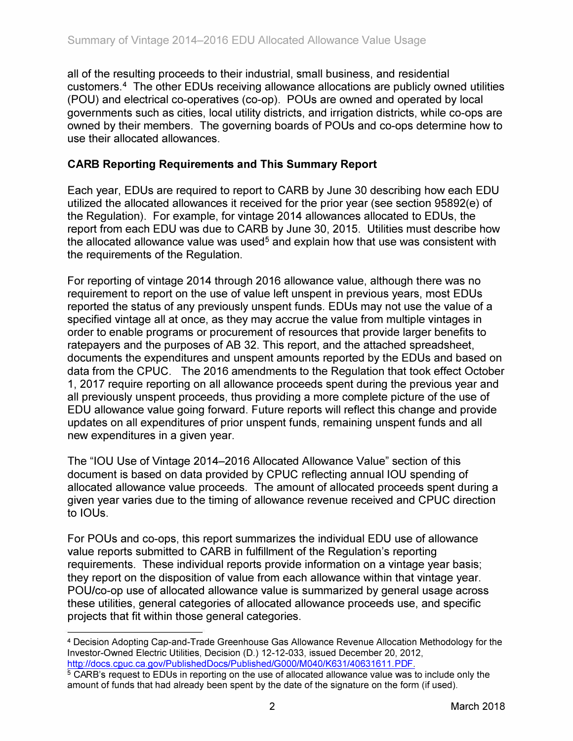**all of the resulting proceeds to their industrial, small business, and residential customers.** [4](#page-1-0) **The other ED Us receiving allowance allocations are publicly owned utilities (POU) and electrical co-operatives (co-op). POUs are owned and operated by local governments such as cities, local utility districts, and irrigation districts, while co-ops are owned by their members. The governing boards of POUs and co-ops determine how to use their allocated allowances.** 

## **CARB Reporting Requirements and This Summary Report**

**Each year, EDUs are required to report to CARB by June 30 describing how each EDU utilized the allocated allowances it received for the prior year (see section 95892(e) of the Regulation). For example, for vintage 2014 allowances allocated to EDUs, the report from each EDU was due to CARB by June 30, 2015. Utilities must describe how the allocated allowance value was used**[5](#page-1-1) **and explain how that use was consistent with the requirements of the Regulation.** 

**For reporting of vintage 2014 through 2016 allowance value, although there was no requirement to report on the use of value left unspent in previous years, most EDUs reported the status of any previously unspent funds. EDUs may not use the value of a specified vintage all at once, as they may accrue the value from multiple vintages in order to enable programs or procurement of resources that provide larger benefits to ratepayers and the purposes of AB 32. This report, and the attached spreadsheet, documents the expenditures and unspent amounts reported by the EDUs and based on data from the CPUC. The 2016 amendments to the Regulation that took effect October 1, 2017 require reporting on all allowance proceeds spent during the previous year and all previously unspent proceeds, thus providing a more complete picture of the use of EDU allowance value going forward. Future reports will reflect this change and provide updates on all expenditures of prior unspent funds, remaining unspent funds and all new expenditures in a given year.** 

**The "IOU Use of Vintage 2014-2016 Allocated Allowance Value" section of this document is based on data provided by CPUC reflecting annual IOU spending of allocated allowance value proceeds. The amount of allocated proceeds spent during a given year varies due to the timing of allowance revenue received and CPUC direction to IOUs.** 

**For POUs and co-ops, this report summarizes the individual EDU use of allowance value reports submitted to CARB in fulfillment of the Regulation's reporting requirements. These individual reports provide information on a vintage year basis; they report on the disposition of value from each allowance within that vintage year. POU/co-op use of allocated allowance value is summarized by general usage across these utilities, general categories of allocated allowance proceeds use, and specific projects that fit within those general categories.** 

<span id="page-1-0"></span><sup>4</sup>Decision Adopting Cap-and-Trade Greenhouse Gas Allowance Revenue Allocation Methodology for the Investor-Owned Electric Utilities, Decision (D.) 12-12-033, issued December 20, 2012, [http://docs.cpuc.ca.gov/PublishedDocs/Published/GOOO/M040/K631/40631611.PDF.](http://docs.cpuc.ca.gov/PublishedDocs/Published/G000/M040/K631/40631611.PDF)

<span id="page-1-1"></span><sup>&</sup>lt;sup>5</sup> CARB's request to EDUs in reporting on the use of allocated allowance value was to include only the amount of funds that had already been spent by the date of the signature on the form (if used).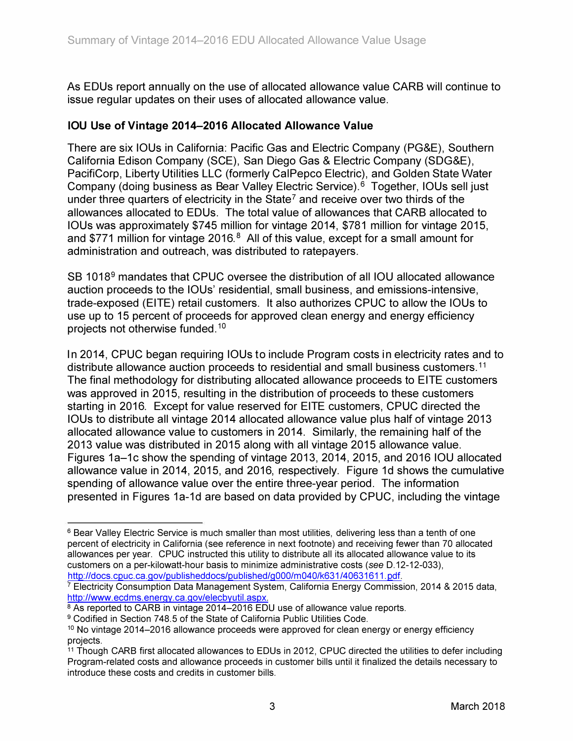**As EDUs report annually on the use of allocated allowance value CARB will continue to issue regular updates on their uses of allocated allowance value.** 

## **IOU Use of Vintage 2014-2016 Allocated Allowance Value**

**There are six IOUs in California: Pacific Gas and Electric Company (PG&E), Southern California Edison Company (SCE), San Diego Gas & Electric Company (SDG&E), PacifiCorp, Liberty Utilities LLC (formerly CalPepco Electric), and Golden State Water Company (doing business as Bear Valley Electric Service).** [6](#page-2-0) **Together, IOUs sell just under three quarters of electricity in the State**[7](#page-2-1) **and receive over two thirds of the allowances allocated to EDUs. The total value of allowances that CARB allocated to IOUs was approximately \$745 million for vintage 2014, \$781 million for vintage 2015, and \$771 million for vintage 2016.** [8](#page-2-2) **All of this value, except for a small amount for administration and outreach, was distributed to ratepayers.** 

**SB 1018**[9](#page-2-3) **mandates that CPUC oversee the distribution of all IOU allocated allowance auction proceeds to the IOUs' residential, small business, and emissions-intensive, trade-exposed (EITE) retail customers. It also authorizes CPUC to allow the IOUs to use up to 15 percent of proceeds for approved clean energy and energy efficiency projects not otherwise [funded.](https://funded.10)** [10](#page-2-4)

**In 2014, CPUC began requiring IOUs to include Program costs in electricity rates and to distribute allowance auction proceeds to residential and small business [customers.](https://customers.11)** [11](#page-2-5) **The final methodology for distributing allocated allowance proceeds to EITE customers was approved in 2015, resulting in the distribution of proceeds to these customers starting in 2016. Except for value reserved for EITE customers, CPUC directed the IOUs to distribute all vintage 2014 allocated allowance value plus half of vintage 2013 allocated allowance value to customers in 2014. Similarly, the remaining half of the 2013 value was distributed in 2015 along with all vintage 2015 allowance value. Figures 1a-1c show the spending of vintage 2013, 2014, 2015, and 2016 IOU allocated allowance value in 2014, 2015, and 2016, respectively. Figure 1d shows the cumulative spending of allowance value over the entire three-year period. The information presented in Figures 1 a-1 d are based on data provided by CPUC, including the vintage** 

<span id="page-2-0"></span><sup>&</sup>lt;sup>6</sup> Bear Valley Electric Service is much smaller than most utilities, delivering less than a tenth of one percent of electricity in California (see reference in next footnote) and receiving fewer than 70 allocated allowances per year. CPUC instructed this utility to distribute all its allocated allowance value to its customers on a per-kilowatt-hour basis to minimize administrative costs (see D.12-12-033), [http://docs.cpuc.ca.gov/publisheddocs/published/g000/m040/k631 /40631611. pdf.](http://docs.cpuc.ca.gov/publisheddocs/published/g000/m040/k631/40631611.pdf)

<span id="page-2-1"></span><sup>7</sup>Electricity Consumption Data Management System, California Energy Commission, 2014 & 2015 data, [http://www.ecdms.energy.ca.gov/elecbyutil.aspx.](http://www.ecdms.energy.ca.gov/elecbyutil.aspx)

<span id="page-2-2"></span><sup>&</sup>lt;sup>8</sup> As reported to CARB in vintage 2014–2016 EDU use of allowance value reports.

<span id="page-2-3"></span><sup>&</sup>lt;sup>9</sup> Codified in Section 748.5 of the State of California Public Utilities Code.

<span id="page-2-4"></span> $10$  No vintage 2014–2016 allowance proceeds were approved for clean energy or energy efficiency projects.

<span id="page-2-5"></span><sup>&</sup>lt;sup>11</sup> Though CARB first allocated allowances to EDUs in 2012, CPUC directed the utilities to defer including Program-related costs and allowance proceeds in customer bills until it finalized the details necessary to introduce these costs and credits in customer bills.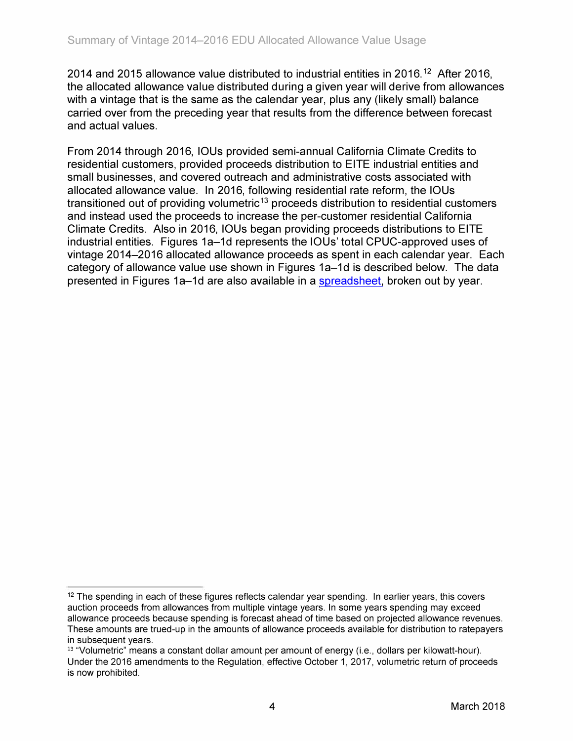**2014 and 2015 allowance value distributed to industrial entities in 2016.** [12](#page-3-0) **After 2016, the allocated allowance value distributed during a given year will derive from allowances with a vintage that is the same as the calendar year, plus any (likely small) balance carried over from the preceding year that results from the difference between forecast and actual values.** 

**From 2014 through 2016, IOUs provided semi-annual California Climate Credits to residential customers, provided proceeds distribution to EITE industrial entities and small businesses, and covered outreach and administrative costs associated with allocated allowance value. In 2016, following residential rate reform, the IOUs transitioned out of providing volumetric**[13](#page-3-1) **proceeds distribution to residential customers and instead used the proceeds to increase the per-customer residential California Climate Credits. Also in 2016, IOUs began providing proceeds distributions to EITE**  industrial entities. Figures 1a-1d represents the IOUs' total CPUC-approved uses of **vintage 2014-2016 allocated allowance proceeds as spent in each calendar year. Each**  category of allowance value use shown in Figures 1a–1d is described below. The data **presented in Figures 1a-1d are also available in a [spreadsheet,](https://www.arb.ca.gov/cc/capandtrade/allowanceallocation/EDU-NG-allowance-value.htm) broken out by year.** 

<span id="page-3-0"></span><sup>&</sup>lt;sup>12</sup> The spending in each of these figures reflects calendar year spending. In earlier years, this covers auction proceeds from allowances from multiple vintage years. In some years spending may exceed allowance proceeds because spending is forecast ahead of time based on projected allowance revenues. These amounts are trued-up in the amounts of allowance proceeds available for distribution to ratepayers in subsequent years.

<span id="page-3-1"></span> $13$  "Volumetric" means a constant dollar amount per amount of energy (i.e., dollars per kilowatt-hour). Under the 2016 amendments to the Regulation, effective October 1, 2017, volumetric return of proceeds is now prohibited.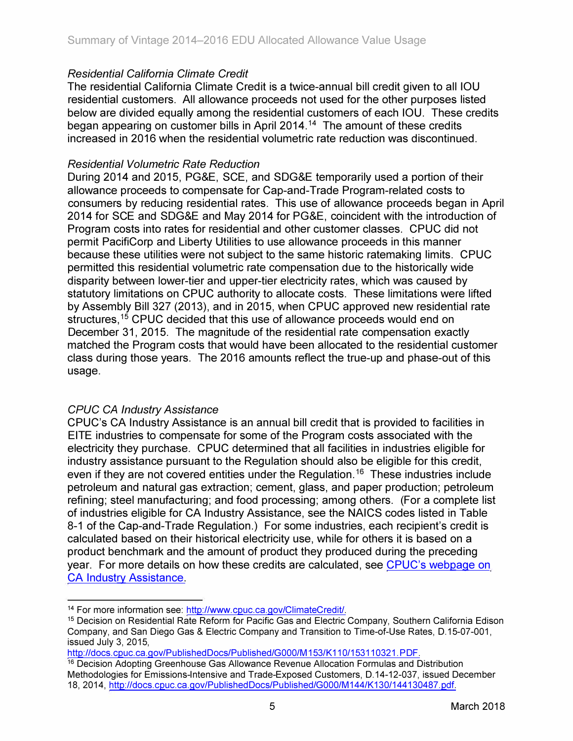### *Residential California Climate Credit*

**The residential California Climate Credit is a twice-annual bill credit given to all IOU residential customers. All allowance proceeds not used for the other purposes listed below are divided equally among the residential customers of each IOU. These credits began appearing on customer bills in April 2014.** [14](#page-4-0) **The amount of these credits increased in 2016 when the residential volumetric rate reduction was discontinued.** 

### *Residential Volumetric Rate Reduction*

**During 2014 and 2015, PG&E, SCE, and SDG&E temporarily used a portion of their allowance proceeds to compensate for Cap-and-Trade Program-related costs to consumers by reducing residential rates. This use of allowance proceeds began in April 2014 for SCE and SDG&E and May 2014 for PG&E, coincident with the introduction of Program costs into rates for residential and other customer classes. CPUC did not permit PacifiCorp and Liberty Utilities to use allowance proceeds in this manner because these utilities were not subject to the same historic ratemaking limits. CPUC permitted this residential volumetric rate compensation due to the historically wide disparity between lower-tier and upper-tier electricity rates, which was caused by statutory limitations on CPUC authority to allocate costs. These limitations were lifted by Assembly Bill 327 (2013), and in 2015, when CPUC approved new residential rate structures,** [15](#page-4-1) **CPUC decided that this use of allowance proceeds would end on December 31, 2015. The magnitude of the residential rate compensation exactly matched the Program costs that would have been allocated to the residential customer class during those years. The 2016 amounts reflect the true-up and phase-out of this usage.** 

#### *CPUC CA Industry Assistance*

**CPUC's CA Industry Assistance is an annual bill credit that is provided to facilities in EITE industries to compensate for some of the Program costs associated with the electricity they purchase. CPUC determined that all facilities in industries eligible for industry assistance pursuant to the Regulation should also be eligible for this credit, even if they are not covered entities under the [Regulation.](https://Regulation.16)** [16](#page-4-2) **These industries include petroleum and natural gas extraction; cement, glass, and paper production; petroleum refining; steel manufacturing; and food processing; among others. (For a complete list of industries eligible for CA Industry Assistance, see the NAICS codes listed in Table 8-1 of the Cap-and-Trade Regulation.) For some industries, each recipient's credit is calculated based on their historical electricity use, while for others it is based on a product benchmark and the amount of product they produced during the preceding year. For more details on how these credits are calculated, see [CPUC's webpage on](http://www.cpuc.ca.gov/industryassistance/)  [CA Industry Assistance.](http://www.cpuc.ca.gov/industryassistance/)** 

<span id="page-4-0"></span><sup>14</sup> For more information see: [http://www.cpuc.ca.gov/ClimateCredit/.](http://www.cpuc.ca.gov/ClimateCredit/)

<span id="page-4-1"></span><sup>&</sup>lt;sup>15</sup> Decision on Residential Rate Reform for Pacific Gas and Electric Company, Southern California Edison Company, and San Diego Gas & Electric Company and Transition to Time-of-Use Rates, D.15-07-001, issued July 3, 2015,

[http://docs.cpuc.ca.gov/PublishedDocs/Published/GOOO/M 153/K110/153110321. PDF.](http://docs.cpuc.ca.gov/PublishedDocs/Published/G000/M153/K110/153110321.PDF)

<span id="page-4-2"></span><sup>&</sup>lt;sup>16</sup> Decision Adopting Greenhouse Gas Allowance Revenue Allocation Formulas and Distribution Methodologies for Emissions-Intensive and Trade-Exposed Customers, D.14-12-037, issued December 18, 2014, [http://docs.cpuc.ca.gov/PublishedDocs/Published/GOOO/M144/K130/144130487.pdf.](http://docs.cpuc.ca.gov/PublishedDocs/Published/G000/M144/K130/144130487.pdf)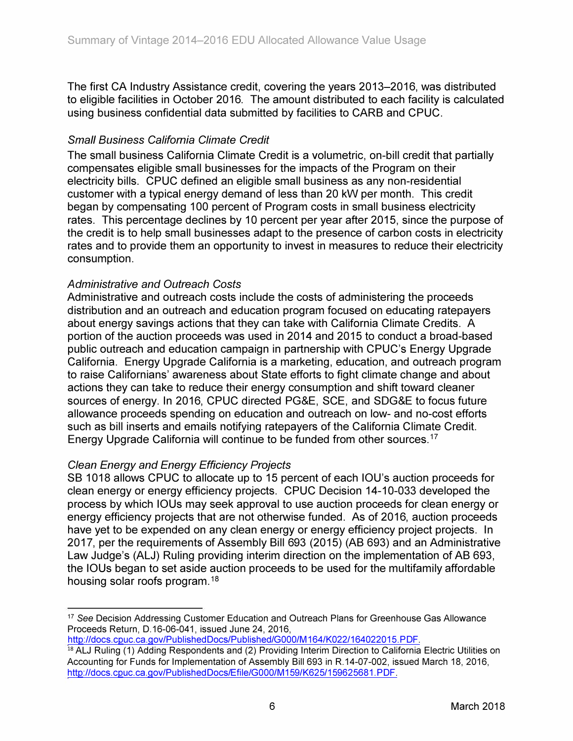**The first CA Industry Assistance credit, covering the years 2013-2016, was distributed to eligible facilities in October 2016. The amount distributed to each facility is calculated using business confidential data submitted by facilities to CARB and CPUC.** 

### *Small Business California Climate Credit*

**The small business California Climate Credit is a volumetric, on-bill credit that partially compensates eligible small businesses for the impacts of the Program on their electricity bills. CPUC defined an eligible small business as any non-residential customer with a typical energy demand of less than 20 kW per month. This credit began by compensating 100 percent of Program costs in small business electricity rates. This percentage declines by 10 percent per year after 2015, since the purpose of the credit is to help small businesses adapt to the presence of carbon costs in electricity rates and to provide them an opportunity to invest in measures to reduce their electricity consumption.** 

### *Administrative and Outreach Costs*

**Administrative and outreach costs include the costs of administering the proceeds distribution and an outreach and education program focused on educating ratepayers about energy savings actions that they can take with California Climate Credits. A portion of the auction proceeds was used in 2014 and 2015 to conduct a broad-based public outreach and education campaign in partnership with CPUC's Energy Upgrade California. Energy Upgrade California is a marketing, education, and outreach program to raise Californians' awareness about State efforts to fight climate change and about actions they can take to reduce their energy consumption and shift toward cleaner sources of energy. In 2016, CPUC directed PG&E, SCE, and SDG&E to focus future allowance proceeds spending on education and outreach on low- and no-cost efforts such as bill inserts and emails notifying ratepayers of the California Climate Credit. Energy Upgrade California will continue to be funded from other sources.** [17](#page-5-0)

### *Clean Energy and Energy Efficiency Projects*

**SB 1018 allows CPUC to allocate up to 15 percent of each IOU's auction proceeds for clean energy or energy efficiency projects. CPUC Decision 14-10-033 developed the process by which IOUs may seek approval to use auction proceeds for clean energy or energy efficiency projects that are not otherwise funded. As of 2016, auction proceeds have yet to be expended on any clean energy or energy efficiency project projects. In 2017, per the requirements of Assembly Bill 693 (2015) (AB 693) and an Administrative Law Judge's (ALJ) Ruling providing interim direction on the implementation of AB 693, the IOUs began to set aside auction proceeds to be used for the multifamily affordable housing solar roofs program.** [18](#page-5-1)

[http://docs.cpuc.ca.gov/PublishedDocs/Published/GOOO/M 164/K022/164022015. PDF.](http://docs.cpuc.ca.gov/PublishedDocs/Published/G000/M164/K022/164022015.PDF)

<span id="page-5-0"></span><sup>17</sup>*See* Decision Addressing Customer Education and Outreach Plans for Greenhouse Gas Allowance Proceeds Return, D.16-06-041, issued June 24, 2016,

<span id="page-5-1"></span><sup>18</sup> ALJ Ruling (1) Adding Respondents and (2) Providing Interim Direction to California Electric Utilities on Accounting for Funds for Implementation of Assembly Bill 693 in R.14-07-002, issued March 18, 2016, [http://docs.cpuc.ca.gov/PublishedDocs/Efile/GOOO/M 159/K625/159625681. PDF.](http://docs.cpuc.ca.gov/PublishedDocs/Efile/G000/M159/K625/159625681.PDF)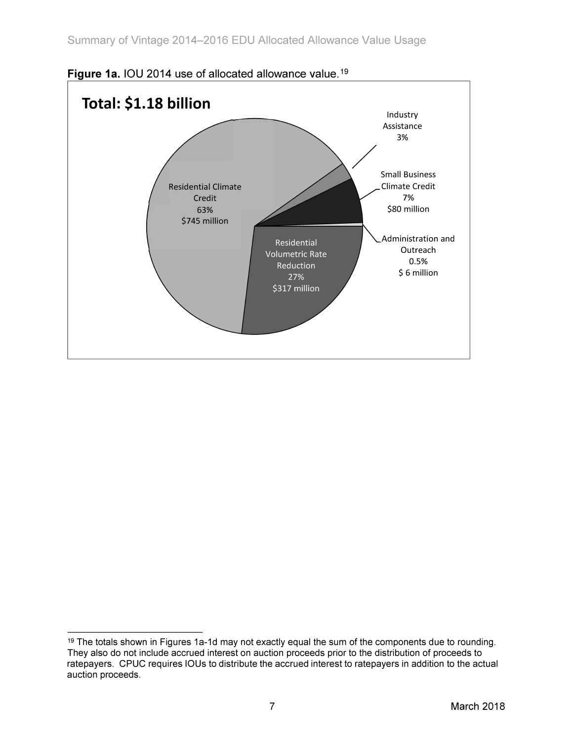



<span id="page-6-0"></span><sup>&</sup>lt;sup>19</sup> The totals shown in Figures 1a-1d may not exactly equal the sum of the components due to rounding. They also do not include accrued interest on auction proceeds prior to the distribution of proceeds to ratepayers. CPUC requires IOUs to distribute the accrued interest to ratepayers in addition to the actual auction proceeds.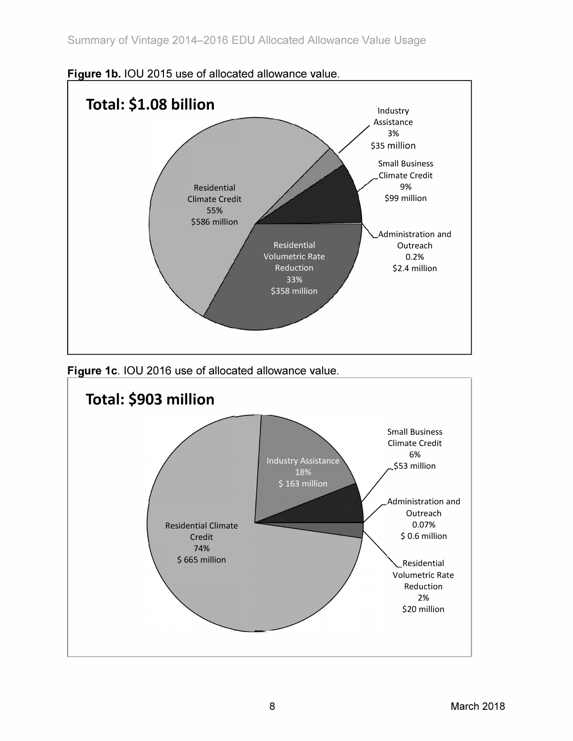

**Figure 1c. IOU 2016 use of allocated allowance value.** 

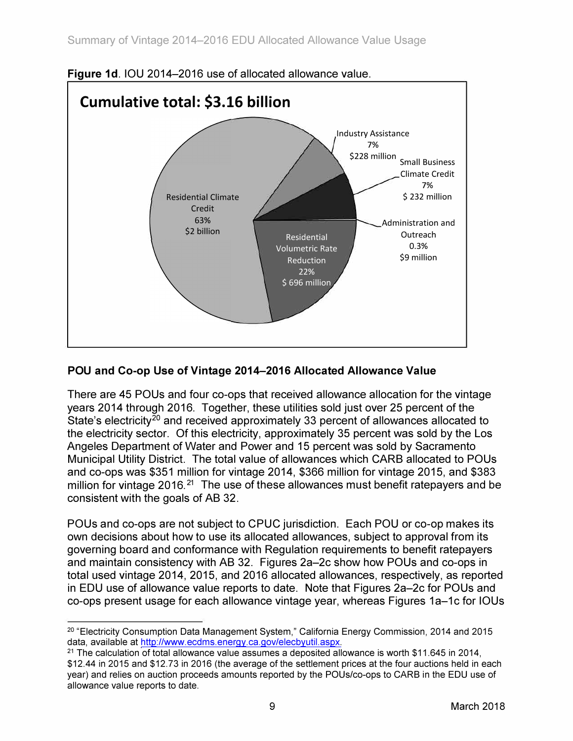

**Figure 1d. IOU 2014-2016 use of allocated allowance value.** 

# **POU and Co-op Use of Vintage 2014-2016 Allocated Allowance Value**

**There are 45 POUs and four co-ops that received allowance allocation for the vintage years 2014 through 2016. Together, these utilities sold just over 25 percent of the State's electricity**[20](#page-8-0) **and received approximately 33 percent of allowances allocated to the electricity sector. Of this electricity, approximately 35 percent was sold by the Los Angeles Department of Water and Power and 15 percent was sold by Sacramento Municipal Utility District. The total value of allowances which CARB allocated to POUs and co-ops was \$351 million for vintage 2014, \$366 million for vintage 2015, and \$383 million for vintage 2016.** [21](#page-8-1) **The use of these allowances must benefit ratepayers and be consistent with the goals of AB 32.** 

**POUs and co-ops are not subject to CPUC jurisdiction. Each POU or co-op makes its own decisions about how to use its allocated allowances, subject to approval from its governing board and conformance with Regulation requirements to benefit ratepayers and maintain consistency with AB 32. Figures 2a-2c show how POUs and co-ops in total used vintage 2014, 2015, and 2016 allocated allowances, respectively, as reported in EDU use of allowance value reports to date. Note that Figures 2a-2c for POUs and**  co-ops present usage for each allowance vintage year, whereas Figures 1a–1c for IOUs

<span id="page-8-0"></span><sup>20</sup>"Electricity Consumption Data Management System," California Energy Commission, 2014 and 2015 data, available at [http://www.ecdms.energy.ca.gov/elecbyutil.aspx.](http://www.ecdms.energy.ca.gov/elecbyutil.aspx)

<span id="page-8-1"></span> $21$  The calculation of total allowance value assumes a deposited allowance is worth \$11.645 in 2014, \$12.44 in 2015 and \$12. 73 in 2016 (the average of the settlement prices at the four auctions held in each year) and relies on auction proceeds amounts reported by the POUs/co-ops to CARB in the EDU use of allowance value reports to date.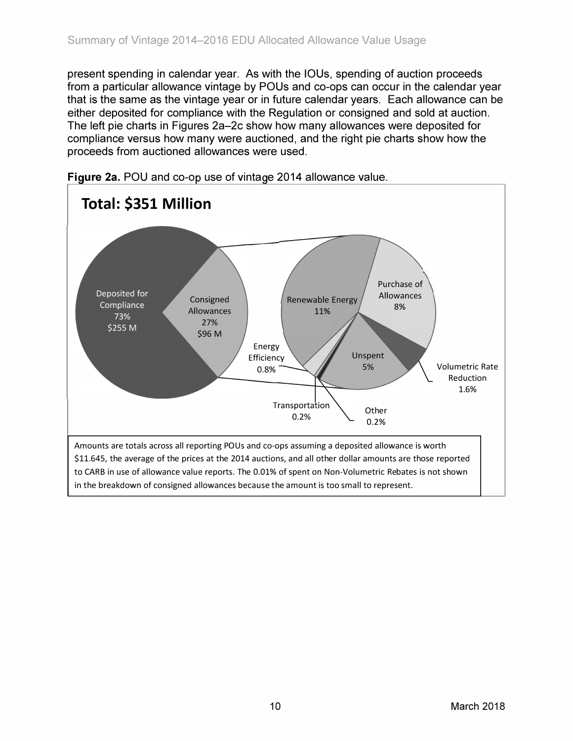**present spending in calendar year. As with the IOUs, spending of auction proceeds from a particular allowance vintage by POUs and co-ops can occur in the calendar year that is the same as the vintage year or in future calendar years. Each allowance can be either deposited for compliance with the Regulation or consigned and sold at auction. The left pie charts in Figures 2a-2c show how many allowances were deposited for compliance versus how many were auctioned, and the right pie charts show how the proceeds from auctioned allowances were used.** 



**Figure 2a. POU and co-op use of vintage 2014 allowance value.**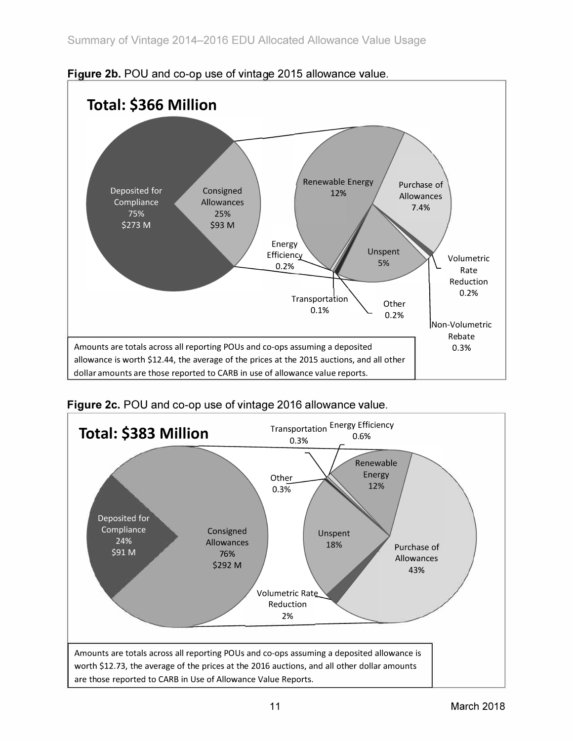





**Figure 2c. POU and co-op use of vintage 2016 allowance value.**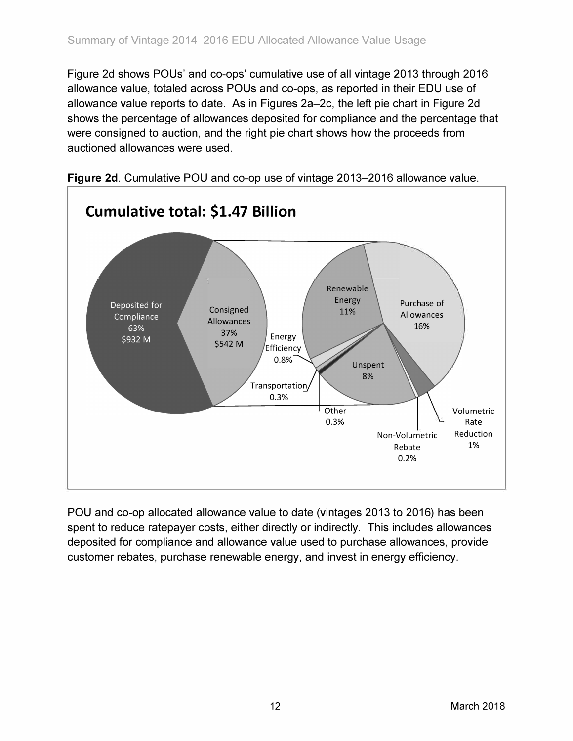**Figure 2d shows POUs' and co-ops' cumulative use of all vintage 2013 through 2016 allowance value, totaled across POUs and co-ops, as reported in their EDU use of allowance value reports to date. As in Figures 2a-2c, the left pie chart in Figure 2d shows the percentage of allowances deposited for compliance and the percentage that were consigned to auction, and the right pie chart shows how the proceeds from auctioned allowances were used.** 



**Figure 2d. Cumulative POU and co-op use of vintage 2013-2016 allowance value.** 

**POU and co-op allocated allowance value to date (vintages 2013 to 2016) has been spent to reduce ratepayer costs, either directly or indirectly. This includes allowances deposited for compliance and allowance value used to purchase allowances, provide customer rebates, purchase renewable energy, and invest in energy efficiency.**